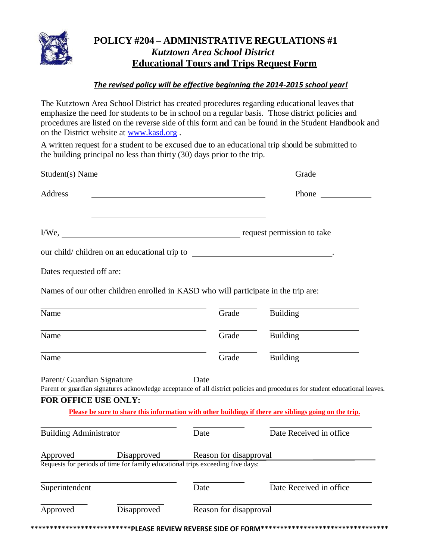

## **POLICY #204 – ADMINISTRATIVE REGULATIONS #1** *Kutztown Area School District* **Educational Tours and Trips Request Form**

## *The revised policy will be effective beginning the 2014-2015 school year!*

The Kutztown Area School District has created procedures regarding educational leaves that emphasize the need for students to be in school on a regular basis. Those district policies and procedures are listed on the reverse side of this form and can be found in the Student Handbook and on the District website at [www.kasd.org](http://www.kasd.org/) .

A written request for a student to be excused due to an educational trip should be submitted to the building principal no less than thirty (30) days prior to the trip.

| Student(s) Name                                                                                                                |                                                                                    |       |                                                                                                                              |
|--------------------------------------------------------------------------------------------------------------------------------|------------------------------------------------------------------------------------|-------|------------------------------------------------------------------------------------------------------------------------------|
| Address                                                                                                                        |                                                                                    |       | Phone $\qquad$                                                                                                               |
| I/We, request permission to take                                                                                               |                                                                                    |       |                                                                                                                              |
|                                                                                                                                |                                                                                    |       |                                                                                                                              |
|                                                                                                                                |                                                                                    |       |                                                                                                                              |
|                                                                                                                                | Names of our other children enrolled in KASD who will participate in the trip are: |       |                                                                                                                              |
| Name                                                                                                                           |                                                                                    | Grade | <b>Building</b>                                                                                                              |
| <u> 1989 - Johann Barn, amerikansk politiker (d. 1989)</u><br>Name                                                             |                                                                                    | Grade | <b>Building</b>                                                                                                              |
| <u> 1989 - Johann Stoff, deutscher Stoffen und der Stoffen und der Stoffen und der Stoffen und der Stoffen und der</u><br>Name |                                                                                    | Grade | Building                                                                                                                     |
| Parent/ Guardian Signature                                                                                                     | Date Date                                                                          |       | Parent or guardian signatures acknowledge acceptance of all district policies and procedures for student educational leaves. |
| FOR OFFICE USE ONLY:                                                                                                           |                                                                                    |       | Please be sure to share this information with other buildings if there are siblings going on the trip.                       |
| <b>Building Administrator</b>                                                                                                  |                                                                                    | Date  | Date Received in office                                                                                                      |
|                                                                                                                                |                                                                                    |       | Approved Disapproved Reason for disapproval                                                                                  |
|                                                                                                                                | Requests for periods of time for family educational trips exceeding five days:     |       |                                                                                                                              |
|                                                                                                                                |                                                                                    | Date  | Date Received in office                                                                                                      |
| Superintendent                                                                                                                 |                                                                                    |       |                                                                                                                              |